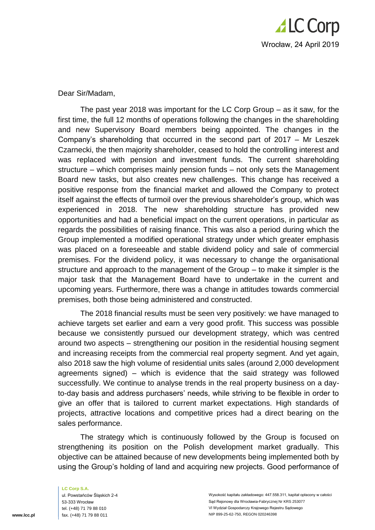

Dear Sir/Madam,

The past year 2018 was important for the LC Corp Group – as it saw, for the first time, the full 12 months of operations following the changes in the shareholding and new Supervisory Board members being appointed. The changes in the Company's shareholding that occurred in the second part of 2017 – Mr Leszek Czarnecki, the then majority shareholder, ceased to hold the controlling interest and was replaced with pension and investment funds. The current shareholding structure – which comprises mainly pension funds – not only sets the Management Board new tasks, but also creates new challenges. This change has received a positive response from the financial market and allowed the Company to protect itself against the effects of turmoil over the previous shareholder's group, which was experienced in 2018. The new shareholding structure has provided new opportunities and had a beneficial impact on the current operations, in particular as regards the possibilities of raising finance. This was also a period during which the Group implemented a modified operational strategy under which greater emphasis was placed on a foreseeable and stable dividend policy and sale of commercial premises. For the dividend policy, it was necessary to change the organisational structure and approach to the management of the Group – to make it simpler is the major task that the Management Board have to undertake in the current and upcoming years. Furthermore, there was a change in attitudes towards commercial premises, both those being administered and constructed.

The 2018 financial results must be seen very positively: we have managed to achieve targets set earlier and earn a very good profit. This success was possible because we consistently pursued our development strategy, which was centred around two aspects – strengthening our position in the residential housing segment and increasing receipts from the commercial real property segment. And yet again, also 2018 saw the high volume of residential units sales (around 2,000 development agreements signed) – which is evidence that the said strategy was followed successfully. We continue to analyse trends in the real property business on a dayto-day basis and address purchasers' needs, while striving to be flexible in order to give an offer that is tailored to current market expectations. High standards of projects, attractive locations and competitive prices had a direct bearing on the sales performance.

The strategy which is continuously followed by the Group is focused on strengthening its position on the Polish development market gradually. This objective can be attained because of new developments being implemented both by using the Group's holding of land and acquiring new projects. Good performance of

**LC Corp S.A.** ul. Powstańców Śląskich 2-4 53-333 Wrocław tel. (+48) 71 79 88 010 fax. (+48) 71 79 88 011